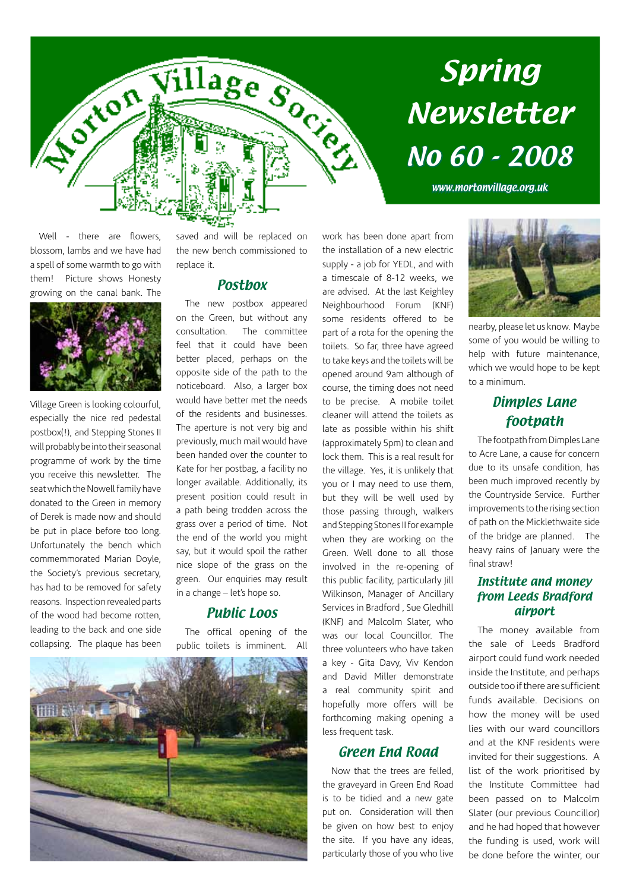

# Spring Newsletter No 60 - 2008

www.mortonvillage.org.uk

Well - there are flowers. blossom, lambs and we have had a spell of some warmth to go with them! Picture shows Honesty growing on the canal bank. The



Village Green is looking colourful, especially the nice red pedestal postbox(!), and Stepping Stones II will probably be into their seasonal programme of work by the time you receive this newsletter. The seat which the Nowell family have donated to the Green in memory of Derek is made now and should be put in place before too long. Unfortunately the bench which commemmorated Marian Doyle, the Society's previous secretary, has had to be removed for safety reasons. Inspection revealed parts of the wood had become rotten, leading to the back and one side collapsing. The plaque has been saved and will be replaced on the new bench commissioned to replace it.

#### **Postbox**

The new postbox appeared on the Green, but without any consultation. The committee feel that it could have been better placed, perhaps on the opposite side of the path to the noticeboard. Also, a larger box would have better met the needs of the residents and businesses. The aperture is not very big and previously, much mail would have been handed over the counter to Kate for her postbag, a facility no longer available. Additionally, its present position could result in a path being trodden across the grass over a period of time. Not the end of the world you might say, but it would spoil the rather nice slope of the grass on the green. Our enquiries may result in a change – let's hope so.

#### Public Loos

The offical opening of the public toilets is imminent. All



work has been done apart from the installation of a new electric supply - a job for YEDL, and with a timescale of 8-12 weeks, we are advised. At the last Keighley Neighbourhood Forum (KNF) some residents offered to be part of a rota for the opening the toilets. So far, three have agreed to take keys and the toilets will be opened around 9am although of course, the timing does not need to be precise. A mobile toilet cleaner will attend the toilets as late as possible within his shift (approximately 5pm) to clean and lock them. This is a real result for the village. Yes, it is unlikely that you or I may need to use them, but they will be well used by those passing through, walkers and Stepping Stones II for example when they are working on the Green. Well done to all those involved in the re-opening of this public facility, particularly Jill Wilkinson, Manager of Ancillary Services in Bradford , Sue Gledhill (KNF) and Malcolm Slater, who was our local Councillor. The three volunteers who have taken a key - Gita Davy, Viv Kendon and David Miller demonstrate a real community spirit and hopefully more offers will be forthcoming making opening a less frequent task.

#### Green End Road

Now that the trees are felled, the graveyard in Green End Road is to be tidied and a new gate put on. Consideration will then be given on how best to enjoy the site. If you have any ideas, particularly those of you who live



nearby, please let us know. Maybe some of you would be willing to help with future maintenance, which we would hope to be kept to a minimum.

#### Dimples Lane footpath

The footpath from Dimples Lane to Acre Lane, a cause for concern due to its unsafe condition, has been much improved recently by the Countryside Service. Further improvements to the rising section of path on the Micklethwaite side of the bridge are planned. The heavy rains of January were the final straw!

#### Institute and money from Leeds Bradford airport

The money available from the sale of Leeds Bradford airport could fund work needed inside the Institute, and perhaps outside too if there are sufficient funds available. Decisions on how the money will be used lies with our ward councillors and at the KNF residents were invited for their suggestions. A list of the work prioritised by the Institute Committee had been passed on to Malcolm Slater (our previous Councillor) and he had hoped that however the funding is used, work will be done before the winter, our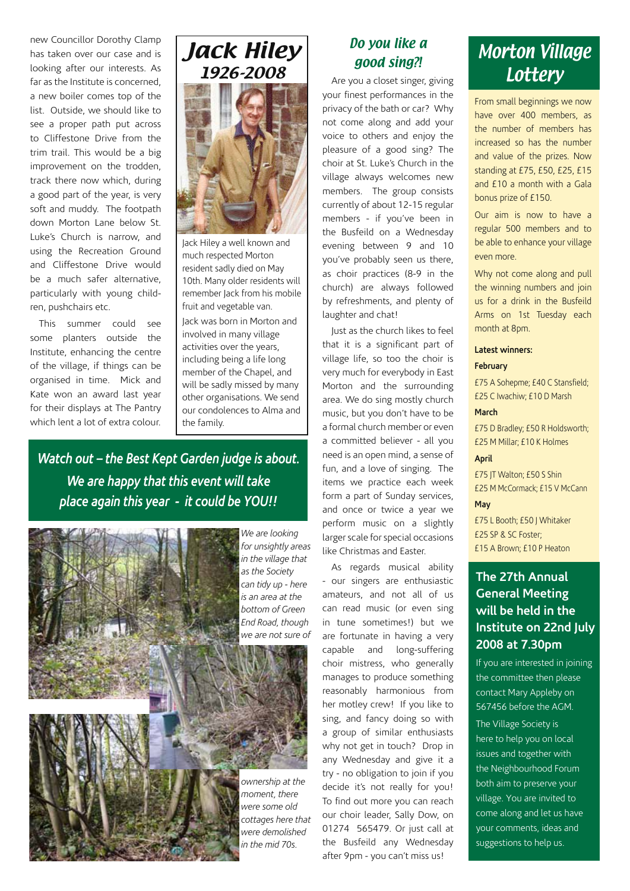new Councillor Dorothy Clamp has taken over our case and is looking after our interests. As far as the Institute is concerned, a new boiler comes top of the list. Outside, we should like to see a proper path put across to Cliffestone Drive from the trim trail. This would be a big improvement on the trodden, track there now which, during a good part of the year, is very soft and muddy. The footpath down Morton Lane below St. Luke's Church is narrow, and using the Recreation Ground and Cliffestone Drive would be a much safer alternative, particularly with young children, pushchairs etc.

This summer could see some planters outside the Institute, enhancing the centre of the village, if things can be organised in time. Mick and Kate won an award last year for their displays at The Pantry which lent a lot of extra colour.

# Jack Hiley 1926-2008

Jack Hiley a well known and much respected Morton resident sadly died on May 10th. Many older residents will remember Jack from his mobile fruit and vegetable van.

Jack was born in Morton and involved in many village activities over the years, including being a life long member of the Chapel, and will be sadly missed by many other organisations. We send our condolences to Alma and the family.

*Watch out – the Best Kept Garden judge is about. We are happy that this event will take place again this year - it could be YOU!!*



*We are looking for unsightly areas in the village that as the Society can tidy up - here is an area at the bottom of Green End Road, though we are not sure of* 

## good sing?!

Do you like a

Are you a closet singer, giving your finest performances in the privacy of the bath or car? Why not come along and add your voice to others and enjoy the pleasure of a good sing? The choir at St. Luke's Church in the village always welcomes new members. The group consists currently of about 12-15 regular members - if you've been in the Busfeild on a Wednesday evening between 9 and 10 you've probably seen us there, as choir practices (8-9 in the church) are always followed by refreshments, and plenty of laughter and chat!

Just as the church likes to feel that it is a significant part of village life, so too the choir is very much for everybody in East Morton and the surrounding area. We do sing mostly church music, but you don't have to be a formal church member or even a committed believer - all you need is an open mind, a sense of fun, and a love of singing. The items we practice each week form a part of Sunday services, and once or twice a year we perform music on a slightly larger scale for special occasions like Christmas and Easter.

As regards musical ability - our singers are enthusiastic amateurs, and not all of us can read music (or even sing in tune sometimes!) but we are fortunate in having a very capable and long-suffering choir mistress, who generally manages to produce something reasonably harmonious from her motley crew! If you like to sing, and fancy doing so with a group of similar enthusiasts why not get in touch? Drop in any Wednesday and give it a try - no obligation to join if you decide it's not really for you! To find out more you can reach our choir leader, Sally Dow, on 01274 565479. Or just call at the Busfeild any Wednesday after 9pm - you can't miss us!

### Morton Village **Lottery**

From small beginnings we now have over 400 members, as the number of members has increased so has the number and value of the prizes. Now standing at £75, £50, £25, £15 and £10 a month with a Gala bonus prize of £150.

Our aim is now to have a regular 500 members and to be able to enhance your village even more.

Why not come along and pull the winning numbers and join us for a drink in the Busfeild Arms on 1st Tuesday each month at 8pm.

#### **Latest winners:**

#### **February**

£75 A Sohepme; £40 C Stansfield; £25 C Iwachiw; £10 D Marsh

#### **March**

£75 D Bradley; £50 R Holdsworth; £25 M Millar; £10 K Holmes

#### **April**

£75 JT Walton; £50 S Shin £25 M McCormack; £15 V McCann

#### **May**

£75 L Booth; £50 J Whitaker £25 SP & SC Foster; £15 A Brown; £10 P Heaton

#### **The 27th Annual General Meeting will be held in the Institute on 22nd July 2008 at 7.30pm**

If you are interested in joining the committee then please contact Mary Appleby on 567456 before the AGM.

The Village Society is here to help you on local issues and together with the Neighbourhood Forum both aim to preserve your village. You are invited to come along and let us have your comments, ideas and suggestions to help us.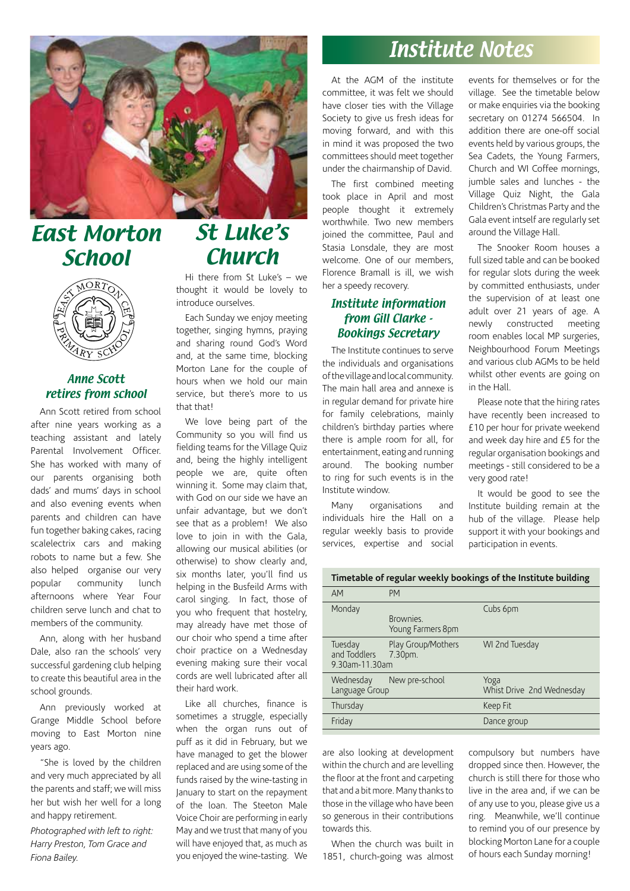

## East Morton **School**



#### Anne Scott retires from school

Ann Scott retired from school after nine years working as a teaching assistant and lately Parental Involvement Officer. She has worked with many of our parents organising both dads' and mums' days in school and also evening events when parents and children can have fun together baking cakes, racing scalelectrix cars and making robots to name but a few. She also helped organise our very popular community lunch afternoons where Year Four children serve lunch and chat to members of the community.

Ann, along with her husband Dale, also ran the schools' very successful gardening club helping to create this beautiful area in the school grounds.

Ann previously worked at Grange Middle School before moving to East Morton nine years ago.

"She is loved by the children and very much appreciated by all the parents and staff; we will miss her but wish her well for a long and happy retirement.

*Photographed with left to right: Harry Preston, Tom Grace and Fiona Bailey.* 

## St Luke's **Church**

Hi there from St Luke's – we thought it would be lovely to introduce ourselves.

Each Sunday we enjoy meeting together, singing hymns, praying and sharing round God's Word and, at the same time, blocking Morton Lane for the couple of hours when we hold our main service, but there's more to us that that!

We love being part of the Community so you will find us fielding teams for the Village Quiz and, being the highly intelligent people we are, quite often winning it. Some may claim that, with God on our side we have an unfair advantage, but we don't see that as a problem! We also love to join in with the Gala, allowing our musical abilities (or otherwise) to show clearly and, six months later, you'll find us helping in the Busfeild Arms with carol singing. In fact, those of you who frequent that hostelry, may already have met those of our choir who spend a time after choir practice on a Wednesday evening making sure their vocal cords are well lubricated after all their hard work.

Like all churches, finance is sometimes a struggle, especially when the organ runs out of puff as it did in February, but we have managed to get the blower replaced and are using some of the funds raised by the wine-tasting in January to start on the repayment of the loan. The Steeton Male Voice Choir are performing in early May and we trust that many of you will have enjoyed that, as much as you enjoyed the wine-tasting. We

### Institute Notes

At the AGM of the institute committee, it was felt we should have closer ties with the Village Society to give us fresh ideas for moving forward, and with this in mind it was proposed the two committees should meet together under the chairmanship of David.

The first combined meeting took place in April and most people thought it extremely worthwhile. Two new members joined the committee, Paul and Stasia Lonsdale, they are most welcome. One of our members, Florence Bramall is ill, we wish her a speedy recovery.

#### Institute information from Gill Clarke - Bookings Secretary

The Institute continues to serve the individuals and organisations of the village and local community. The main hall area and annexe is in regular demand for private hire for family celebrations, mainly children's birthday parties where there is ample room for all, for entertainment, eating and running around. The booking number to ring for such events is in the Institute window.

Many organisations and individuals hire the Hall on a regular weekly basis to provide services, expertise and social events for themselves or for the village. See the timetable below or make enquiries via the booking secretary on 01274 566504. In addition there are one-off social events held by various groups, the Sea Cadets, the Young Farmers, Church and WI Coffee mornings, jumble sales and lunches - the Village Quiz Night, the Gala Children's Christmas Party and the Gala event intself are regularly set around the Village Hall.

The Snooker Room houses a full sized table and can be booked for regular slots during the week by committed enthusiasts, under the supervision of at least one adult over 21 years of age. A newly constructed meeting room enables local MP surgeries, Neighbourhood Forum Meetings and various club AGMs to be held whilst other events are going on in the Hall.

Please note that the hiring rates have recently been increased to £10 per hour for private weekend and week day hire and £5 for the regular organisation bookings and meetings - still considered to be a very good rate!

It would be good to see the Institute building remain at the hub of the village. Please help support it with your bookings and participation in events.

**Timetable of regular weekly bookings of the Institute building**

| AM                                        | PM                             |                                   |
|-------------------------------------------|--------------------------------|-----------------------------------|
| Monday                                    | Brownies.<br>Young Farmers 8pm | Cubs 6pm                          |
| Tuesday<br>and Toddlers<br>9.30am-11.30am | Play Group/Mothers<br>7.30pm.  | WI 2nd Tuesday                    |
| Wednesday<br>Language Group               | New pre-school                 | Yoga<br>Whist Drive 2nd Wednesday |
| Thursday                                  |                                | Keep Fit                          |
| Friday                                    |                                | Dance group                       |
|                                           |                                |                                   |

are also looking at development within the church and are levelling the floor at the front and carpeting that and a bit more. Many thanks to those in the village who have been so generous in their contributions towards this.

When the church was built in 1851, church-going was almost compulsory but numbers have dropped since then. However, the church is still there for those who live in the area and, if we can be of any use to you, please give us a ring. Meanwhile, we'll continue to remind you of our presence by blocking Morton Lane for a couple of hours each Sunday morning!